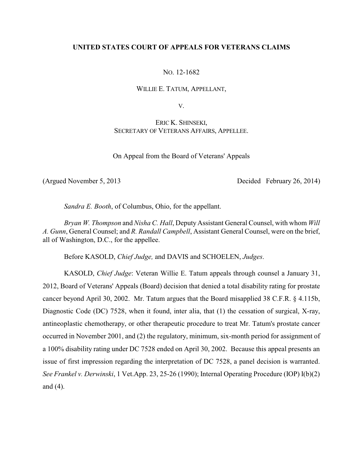# **UNITED STATES COURT OF APPEALS FOR VETERANS CLAIMS**

NO. 12-1682

WILLIE E. TATUM, APPELLANT,

V.

ERIC K. SHINSEKI, SECRETARY OF VETERANS AFFAIRS, APPELLEE.

On Appeal from the Board of Veterans' Appeals

(Argued November 5, 2013 Decided February 26, 2014)

*Sandra E. Booth*, of Columbus, Ohio, for the appellant.

*Bryan W. Thompson* and *Nisha C. Hall*, Deputy Assistant General Counsel, with whom *Will A. Gunn*, General Counsel; and *R. Randall Campbell*, Assistant General Counsel, were on the brief, all of Washington, D.C., for the appellee.

Before KASOLD, *Chief Judge,* and DAVIS and SCHOELEN, *Judges*.

KASOLD, *Chief Judge*: Veteran Willie E. Tatum appeals through counsel a January 31, 2012, Board of Veterans' Appeals (Board) decision that denied a total disability rating for prostate cancer beyond April 30, 2002. Mr. Tatum argues that the Board misapplied 38 C.F.R. § 4.115b, Diagnostic Code (DC) 7528, when it found, inter alia, that (1) the cessation of surgical, X-ray, antineoplastic chemotherapy, or other therapeutic procedure to treat Mr. Tatum's prostate cancer occurred in November 2001, and (2) the regulatory, minimum, six-month period for assignment of a 100% disability rating under DC 7528 ended on April 30, 2002. Because this appeal presents an issue of first impression regarding the interpretation of DC 7528, a panel decision is warranted. *See Frankel v. Derwinski*, 1 Vet.App. 23, 25-26 (1990); Internal Operating Procedure (IOP) I(b)(2) and (4).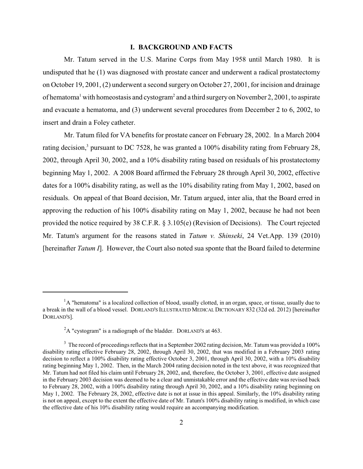## **I. BACKGROUND AND FACTS**

Mr. Tatum served in the U.S. Marine Corps from May 1958 until March 1980. It is undisputed that he (1) was diagnosed with prostate cancer and underwent a radical prostatectomy on October 19, 2001, (2) underwent a second surgery on October 27, 2001, for incision and drainage of hematoma<sup>1</sup> with homeostasis and cystogram<sup>2</sup> and a third surgery on November 2, 2001, to aspirate and evacuate a hematoma, and (3) underwent several procedures from December 2 to 6, 2002, to insert and drain a Foley catheter.

Mr. Tatum filed for VA benefits for prostate cancer on February 28, 2002. In a March 2004 rating decision,<sup>3</sup> pursuant to DC 7528, he was granted a 100% disability rating from February 28, 2002, through April 30, 2002, and a 10% disability rating based on residuals of his prostatectomy beginning May 1, 2002. A 2008 Board affirmed the February 28 through April 30, 2002, effective dates for a 100% disability rating, as well as the 10% disability rating from May 1, 2002, based on residuals. On appeal of that Board decision, Mr. Tatum argued, inter alia, that the Board erred in approving the reduction of his 100% disability rating on May 1, 2002, because he had not been provided the notice required by 38 C.F.R. § 3.105(e) (Revision of Decisions). The Court rejected Mr. Tatum's argument for the reasons stated in *Tatum v. Shinseki*, 24 Vet.App. 139 (2010) [hereinafter *Tatum I*]. However, the Court also noted sua sponte that the Board failed to determine

 ${}^{1}$ A "hematoma" is a localized collection of blood, usually clotted, in an organ, space, or tissue, usually due to a break in the wall of a blood vessel. DORLAND'S ILLUSTRATED MEDICAL DICTIONARY 832 (32d ed. 2012) [hereinafter DORLAND'S].

 ${}^{2}$ A "cystogram" is a radiograph of the bladder. DORLAND's at 463.

 $3\text{ The record of proceeding reflects that in a September 2002 rating decision, Mr. Tatum was provided a 100\%$ disability rating effective February 28, 2002, through April 30, 2002, that was modified in a February 2003 rating decision to reflect a 100% disability rating effective October 3, 2001, through April 30, 2002, with a 10% disability rating beginning May 1, 2002. Then, in the March 2004 rating decision noted in the text above, it was recognized that Mr. Tatum had not filed his claim until February 28, 2002, and, therefore, the October 3, 2001, effective date assigned in the February 2003 decision was deemed to be a clear and unmistakable error and the effective date was revised back to February 28, 2002, with a 100% disability rating through April 30, 2002, and a 10% disability rating beginning on May 1, 2002. The February 28, 2002, effective date is not at issue in this appeal. Similarly, the 10% disability rating is not on appeal, except to the extent the effective date of Mr. Tatum's 100% disability rating is modified, in which case the effective date of his 10% disability rating would require an accompanying modification.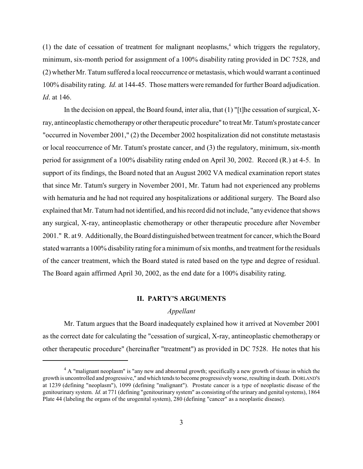(1) the date of cessation of treatment for malignant neoplasms,<sup>4</sup> which triggers the regulatory, minimum, six-month period for assignment of a 100% disability rating provided in DC 7528, and (2) whether Mr. Tatum suffered a local reoccurrence or metastasis, which would warrant a continued 100% disability rating. *Id.* at 144-45. Those matters were remanded for further Board adjudication. *Id*. at 146.

In the decision on appeal, the Board found, inter alia, that (1) "[t]he cessation of surgical, Xray, antineoplastic chemotherapy or other therapeutic procedure" to treat Mr. Tatum's prostate cancer "occurred in November 2001," (2) the December 2002 hospitalization did not constitute metastasis or local reoccurrence of Mr. Tatum's prostate cancer, and (3) the regulatory, minimum, six-month period for assignment of a 100% disability rating ended on April 30, 2002. Record (R.) at 4-5. In support of its findings, the Board noted that an August 2002 VA medical examination report states that since Mr. Tatum's surgery in November 2001, Mr. Tatum had not experienced any problems with hematuria and he had not required any hospitalizations or additional surgery. The Board also explained that Mr. Tatum had not identified, and his record did not include, "anyevidence that shows any surgical, X-ray, antineoplastic chemotherapy or other therapeutic procedure after November 2001." R. at 9. Additionally, the Board distinguished between treatment for cancer, which the Board stated warrants a 100% disability rating for a minimum of six months, and treatment for the residuals of the cancer treatment, which the Board stated is rated based on the type and degree of residual. The Board again affirmed April 30, 2002, as the end date for a 100% disability rating.

## **II. PARTY'S ARGUMENTS**

# *Appellant*

Mr. Tatum argues that the Board inadequately explained how it arrived at November 2001 as the correct date for calculating the "cessation of surgical, X-ray, antineoplastic chemotherapy or other therapeutic procedure" (hereinafter "treatment") as provided in DC 7528. He notes that his

 $4 \text{ A}$  "malignant neoplasm" is "any new and abnormal growth; specifically a new growth of tissue in which the growth is uncontrolled and progressive," and which tends to become progressivelyworse, resulting in death. DORLAND'S at 1239 (defining "neoplasm"), 1099 (defining "malignant"). Prostate cancer is a type of neoplastic disease of the genitourinary system. *Id.* at 771 (defining "genitourinary system" as consisting of the urinary and genital systems), 1864 Plate 44 (labeling the organs of the urogenital system), 280 (defining "cancer" as a neoplastic disease).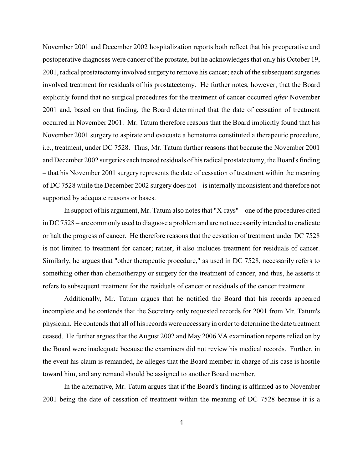November 2001 and December 2002 hospitalization reports both reflect that his preoperative and postoperative diagnoses were cancer of the prostate, but he acknowledges that only his October 19, 2001, radical prostatectomy involved surgery to remove his cancer; each of the subsequent surgeries involved treatment for residuals of his prostatectomy. He further notes, however, that the Board explicitly found that no surgical procedures for the treatment of cancer occurred *after* November 2001 and, based on that finding, the Board determined that the date of cessation of treatment occurred in November 2001. Mr. Tatum therefore reasons that the Board implicitly found that his November 2001 surgery to aspirate and evacuate a hematoma constituted a therapeutic procedure, i.e., treatment, under DC 7528. Thus, Mr. Tatum further reasons that because the November 2001 and December 2002 surgeries each treated residuals of his radical prostatectomy, the Board's finding – that his November 2001 surgery represents the date of cessation of treatment within the meaning of DC 7528 while the December 2002 surgery does not – is internally inconsistent and therefore not supported by adequate reasons or bases.

In support of his argument, Mr. Tatum also notes that "X-rays" – one of the procedures cited in DC 7528 – are commonly used to diagnose a problem and are not necessarily intended to eradicate or halt the progress of cancer. He therefore reasons that the cessation of treatment under DC 7528 is not limited to treatment for cancer; rather, it also includes treatment for residuals of cancer. Similarly, he argues that "other therapeutic procedure," as used in DC 7528, necessarily refers to something other than chemotherapy or surgery for the treatment of cancer, and thus, he asserts it refers to subsequent treatment for the residuals of cancer or residuals of the cancer treatment.

Additionally, Mr. Tatum argues that he notified the Board that his records appeared incomplete and he contends that the Secretary only requested records for 2001 from Mr. Tatum's physician. He contends that all of his records were necessary in orderto determine the date treatment ceased. He further argues that the August 2002 and May 2006 VA examination reports relied on by the Board were inadequate because the examiners did not review his medical records. Further, in the event his claim is remanded, he alleges that the Board member in charge of his case is hostile toward him, and any remand should be assigned to another Board member.

In the alternative, Mr. Tatum argues that if the Board's finding is affirmed as to November 2001 being the date of cessation of treatment within the meaning of DC 7528 because it is a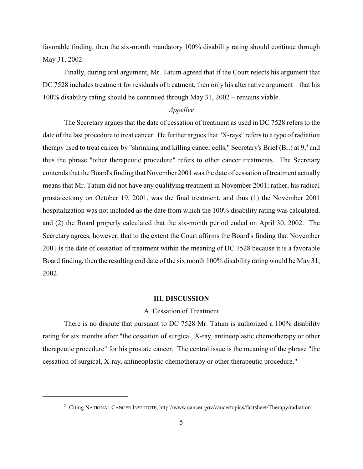favorable finding, then the six-month mandatory 100% disability rating should continue through May 31, 2002.

Finally, during oral argument, Mr. Tatum agreed that if the Court rejects his argument that DC 7528 includes treatment for residuals of treatment, then only his alternative argument – that his 100% disability rating should be continued through May 31, 2002 – remains viable.

# *Appellee*

The Secretary argues that the date of cessation of treatment as used in DC 7528 refers to the date of the last procedure to treat cancer. He further argues that "X-rays" refers to a type of radiation therapy used to treat cancer by "shrinking and killing cancer cells," Secretary's Brief (Br.) at  $9<sup>5</sup>$  and thus the phrase "other therapeutic procedure" refers to other cancer treatments. The Secretary contends that the Board's finding that November 2001 was the date of cessation of treatment actually means that Mr. Tatum did not have any qualifying treatment in November 2001; rather, his radical prostatectomy on October 19, 2001, was the final treatment, and thus (1) the November 2001 hospitalization was not included as the date from which the 100% disability rating was calculated, and (2) the Board properly calculated that the six-month period ended on April 30, 2002. The Secretary agrees, however, that to the extent the Court affirms the Board's finding that November 2001 is the date of cessation of treatment within the meaning of DC 7528 because it is a favorable Board finding, then the resulting end date of the six month 100% disability rating would be May 31, 2002.

#### **III. DISCUSSION**

## A. Cessation of Treatment

There is no dispute that pursuant to DC 7528 Mr. Tatum is authorized a 100% disability rating for six months after "the cessation of surgical, X-ray, antineoplastic chemotherapy or other therapeutic procedure" for his prostate cancer. The central issue is the meaning of the phrase "the cessation of surgical, X-ray, antineoplastic chemotherapy or other therapeutic procedure."

<sup>&</sup>lt;sup>5</sup> Citing NATIONAL CANCER INSTITUTE, http://www.cancer.gov/cancertopics/factsheet/Therapy/radiation.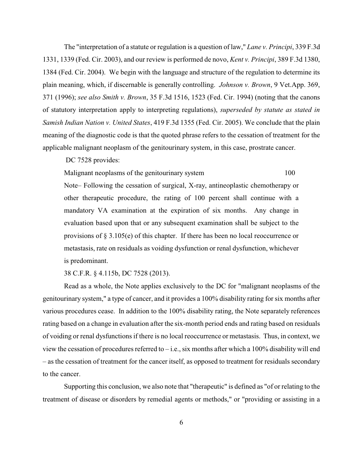The "interpretation of a statute or regulation is a question of law," *Lane v. Principi*, 339 F.3d 1331, 1339 (Fed. Cir. 2003), and our review is performed de novo, *Kent v. Principi*, 389 F.3d 1380, 1384 (Fed. Cir. 2004). We begin with the language and structure of the regulation to determine its plain meaning, which, if discernable is generally controlling. *Johnson v. Brown*, 9 Vet.App. 369, 371 (1996); *see also Smith v. Brown*, 35 F.3d 1516, 1523 (Fed. Cir. 1994) (noting that the canons of statutory interpretation apply to interpreting regulations), *superseded by statute as stated in Samish Indian Nation v. United States*, 419 F.3d 1355 (Fed. Cir. 2005). We conclude that the plain meaning of the diagnostic code is that the quoted phrase refers to the cessation of treatment for the applicable malignant neoplasm of the genitourinary system, in this case, prostrate cancer.

DC 7528 provides:

Malignant neoplasms of the genitourinary system 100

Note– Following the cessation of surgical, X-ray, antineoplastic chemotherapy or other therapeutic procedure, the rating of 100 percent shall continue with a mandatory VA examination at the expiration of six months. Any change in evaluation based upon that or any subsequent examination shall be subject to the provisions of  $\S 3.105(e)$  of this chapter. If there has been no local reoccurrence or metastasis, rate on residuals as voiding dysfunction or renal dysfunction, whichever is predominant.

38 C.F.R. § 4.115b, DC 7528 (2013).

Read as a whole, the Note applies exclusively to the DC for "malignant neoplasms of the genitourinary system," a type of cancer, and it provides a 100% disability rating for six months after various procedures cease. In addition to the 100% disability rating, the Note separately references rating based on a change in evaluation after the six-month period ends and rating based on residuals of voiding or renal dysfunctions if there is no local reoccurrence or metastasis. Thus, in context, we view the cessation of procedures referred to – i.e., six months after which a 100% disability will end – as the cessation of treatment for the cancer itself, as opposed to treatment for residuals secondary to the cancer.

Supporting this conclusion, we also note that "therapeutic" is defined as "of or relating to the treatment of disease or disorders by remedial agents or methods," or "providing or assisting in a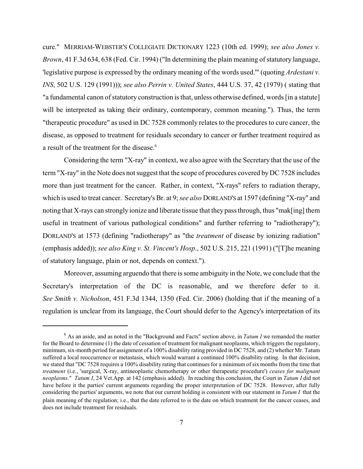cure." MERRIAM-WEBSTER'S COLLEGIATE DICTIONARY 1223 (10th ed. 1999); *see also Jones v. Brown*, 41 F.3d 634, 638 (Fed. Cir. 1994) ("In determining the plain meaning of statutory language, 'legislative purpose is expressed by the ordinary meaning of the words used.'" (quoting *Ardestani v. INS*, 502 U.S. 129 (1991))); *see also Perrin v. United States*, 444 U.S. 37, 42 (1979) ( stating that "a fundamental canon of statutory construction is that, unless otherwise defined, words [in a statute] will be interpreted as taking their ordinary, contemporary, common meaning."). Thus, the term "therapeutic procedure" as used in DC 7528 commonly relates to the procedures to cure cancer, the disease, as opposed to treatment for residuals secondary to cancer or further treatment required as a result of the treatment for the disease.<sup>6</sup>

Considering the term "X-ray" in context, we also agree with the Secretary that the use of the term "X-ray" in the Note does not suggest that the scope of procedures covered by DC 7528 includes more than just treatment for the cancer. Rather, in context, "X-rays" refers to radiation therapy, which is used to treat cancer. Secretary's Br. at 9; *see also* DORLAND'S at 1597 (defining "X-ray" and noting that X-rays can strongly ionize and liberate tissue that they pass through, thus "mak[ing] them useful in treatment of various pathological conditions" and further referring to "radiotherapy"); DORLAND'S at 1573 (defining "radiotherapy" as "the *treatment* of disease by ionizing radiation" (emphasis added)); *see also King v. St. Vincent's Hosp*., 502 U.S. 215, 221 (1991) ("[T]he meaning of statutory language, plain or not, depends on context.").

Moreover, assuming arguendo that there is some ambiguity in the Note, we conclude that the Secretary's interpretation of the DC is reasonable, and we therefore defer to it. *See Smith v. Nicholson*, 451 F.3d 1344, 1350 (Fed. Cir. 2006) (holding that if the meaning of a regulation is unclear from its language, the Court should defer to the Agency's interpretation of its

 $6$  As an aside, and as noted in the "Background and Facts" section above, in *Tatum I* we remanded the matter for the Board to determine (1) the date of cessation of treatment for malignant neoplasms, which triggers the regulatory, minimum, six-month period for assignment of a 100% disability rating provided in DC 7528, and (2) whether Mr. Tatum suffered a local reoccurrence or metastasis, which would warrant a continued 100% disability rating. In that decision, we stated that "DC 7528 requires a 100% disability rating that continues for a minimum of six months from the time that *treatment* (i.e., 'surgical, X-ray, antineoplastic chemotherapy or other therapeutic procedure') *ceases for malignant neoplasms*." *Tatum I*, 24 Vet.App. at 142 (emphasis added). In reaching this conclusion, the Court in *Tatum I* did not have before it the parties' current arguments regarding the proper interpretation of DC 7528. However, after fully considering the parties' arguments, we note that our current holding is consistent with our statement in *Tatum I* that the plain meaning of the regulation; i.e., that the date referred to is the date on which treatment for the cancer ceases, and does not include treatment for residuals.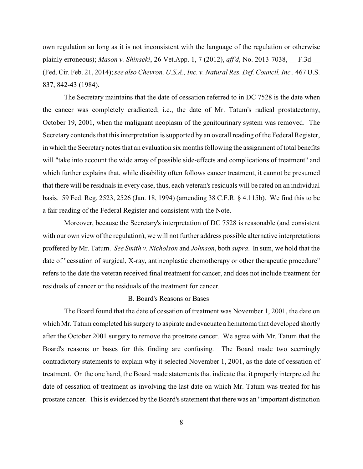own regulation so long as it is not inconsistent with the language of the regulation or otherwise plainly erroneous); *Mason v. Shinseki*, 26 Vet.App. 1, 7 (2012), *aff'd*, No. 2013-7038, \_\_ F.3d \_\_ (Fed. Cir. Feb. 21, 2014); *see also Chevron, U.S.A., Inc. v. Natural Res. Def. Council, Inc.,* 467 U.S. 837, 842-43 (1984).

The Secretary maintains that the date of cessation referred to in DC 7528 is the date when the cancer was completely eradicated; i.e., the date of Mr. Tatum's radical prostatectomy, October 19, 2001, when the malignant neoplasm of the genitourinary system was removed. The Secretary contends that this interpretation is supported by an overall reading of the Federal Register, in which the Secretary notes that an evaluation six months following the assignment of total benefits will "take into account the wide array of possible side-effects and complications of treatment" and which further explains that, while disability often follows cancer treatment, it cannot be presumed that there will be residuals in every case, thus, each veteran's residuals will be rated on an individual basis. 59 Fed. Reg. 2523, 2526 (Jan. 18, 1994) (amending 38 C.F.R. § 4.115b). We find this to be a fair reading of the Federal Register and consistent with the Note.

Moreover, because the Secretary's interpretation of DC 7528 is reasonable (and consistent with our own view of the regulation), we will not further address possible alternative interpretations proffered by Mr. Tatum. *See Smith v. Nicholson* and *Johnson*, both *supra*. In sum, we hold that the date of "cessation of surgical, X-ray, antineoplastic chemotherapy or other therapeutic procedure" refers to the date the veteran received final treatment for cancer, and does not include treatment for residuals of cancer or the residuals of the treatment for cancer.

# B. Board's Reasons or Bases

The Board found that the date of cessation of treatment was November 1, 2001, the date on which Mr. Tatum completed his surgery to aspirate and evacuate a hematoma that developed shortly after the October 2001 surgery to remove the prostrate cancer. We agree with Mr. Tatum that the Board's reasons or bases for this finding are confusing. The Board made two seemingly contradictory statements to explain why it selected November 1, 2001, as the date of cessation of treatment. On the one hand, the Board made statements that indicate that it properly interpreted the date of cessation of treatment as involving the last date on which Mr. Tatum was treated for his prostate cancer. This is evidenced by the Board's statement that there was an "important distinction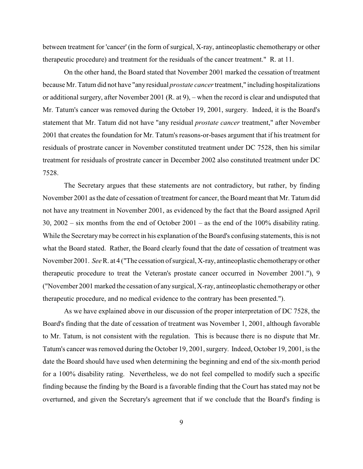between treatment for 'cancer' (in the form of surgical, X-ray, antineoplastic chemotherapy or other therapeutic procedure) and treatment for the residuals of the cancer treatment." R. at 11.

On the other hand, the Board stated that November 2001 marked the cessation of treatment because Mr. Tatum did not have "anyresidual *prostate cancer*treatment," including hospitalizations or additional surgery, after November 2001 (R. at 9), – when the record is clear and undisputed that Mr. Tatum's cancer was removed during the October 19, 2001, surgery. Indeed, it is the Board's statement that Mr. Tatum did not have "any residual *prostate cancer* treatment," after November 2001 that creates the foundation for Mr. Tatum's reasons-or-bases argument that if his treatment for residuals of prostrate cancer in November constituted treatment under DC 7528, then his similar treatment for residuals of prostrate cancer in December 2002 also constituted treatment under DC 7528.

The Secretary argues that these statements are not contradictory, but rather, by finding November 2001 as the date of cessation of treatment for cancer, the Board meant that Mr. Tatum did not have any treatment in November 2001, as evidenced by the fact that the Board assigned April 30, 2002 – six months from the end of October 2001 – as the end of the 100% disability rating. While the Secretary may be correct in his explanation of the Board's confusing statements, this is not what the Board stated. Rather, the Board clearly found that the date of cessation of treatment was November 2001. *See* R. at 4 ("The cessation of surgical, X-ray, antineoplastic chemotherapyor other therapeutic procedure to treat the Veteran's prostate cancer occurred in November 2001."), 9 ("November 2001 marked the cessation of anysurgical, X-ray, antineoplastic chemotherapy or other therapeutic procedure, and no medical evidence to the contrary has been presented.").

As we have explained above in our discussion of the proper interpretation of DC 7528, the Board's finding that the date of cessation of treatment was November 1, 2001, although favorable to Mr. Tatum, is not consistent with the regulation. This is because there is no dispute that Mr. Tatum's cancer was removed during the October 19, 2001, surgery. Indeed, October 19, 2001, is the date the Board should have used when determining the beginning and end of the six-month period for a 100% disability rating. Nevertheless, we do not feel compelled to modify such a specific finding because the finding by the Board is a favorable finding that the Court has stated may not be overturned, and given the Secretary's agreement that if we conclude that the Board's finding is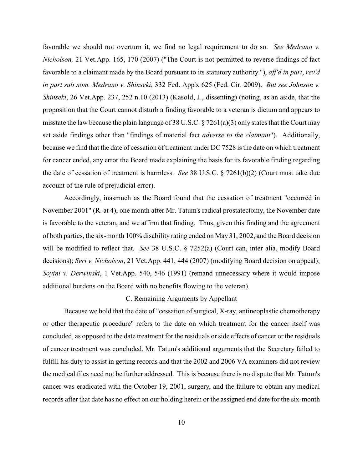favorable we should not overturn it, we find no legal requirement to do so. *See Medrano v. Nicholson,* 21 Vet.App. 165, 170 (2007) ("The Court is not permitted to reverse findings of fact favorable to a claimant made by the Board pursuant to its statutory authority."), *aff'd in part*, *rev'd in part sub nom. Medrano v. Shinseki*, 332 Fed. App'x 625 (Fed. Cir. 2009). *But see Johnson v. Shinseki*, 26 Vet.App. 237, 252 n.10 (2013) (Kasold, J., dissenting) (noting, as an aside, that the proposition that the Court cannot disturb a finding favorable to a veteran is dictum and appears to misstate the law because the plain language of 38 U.S.C. § 7261(a)(3) only states that the Court may set aside findings other than "findings of material fact *adverse to the claimant*"). Additionally, because we find that the date of cessation of treatment under DC 7528 is the date on which treatment for cancer ended, any error the Board made explaining the basis for its favorable finding regarding the date of cessation of treatment is harmless. *See* 38 U.S.C. § 7261(b)(2) (Court must take due account of the rule of prejudicial error).

Accordingly, inasmuch as the Board found that the cessation of treatment "occurred in November 2001" (R. at 4), one month after Mr. Tatum's radical prostatectomy, the November date is favorable to the veteran, and we affirm that finding. Thus, given this finding and the agreement of both parties, the six-month 100% disability rating ended on May 31, 2002, and the Board decision will be modified to reflect that. *See* 38 U.S.C. § 7252(a) (Court can, inter alia, modify Board decisions); *Seri v. Nicholson*, 21 Vet.App. 441, 444 (2007) (modifying Board decision on appeal); *Soyini v. Derwinski*, 1 Vet.App. 540, 546 (1991) (remand unnecessary where it would impose additional burdens on the Board with no benefits flowing to the veteran).

#### C. Remaining Arguments by Appellant

Because we hold that the date of "cessation of surgical, X-ray, antineoplastic chemotherapy or other therapeutic procedure" refers to the date on which treatment for the cancer itself was concluded, as opposed to the date treatment for the residuals or side effects of cancer or the residuals of cancer treatment was concluded, Mr. Tatum's additional arguments that the Secretary failed to fulfill his duty to assist in getting records and that the 2002 and 2006 VA examiners did not review the medical files need not be further addressed. This is because there is no dispute that Mr. Tatum's cancer was eradicated with the October 19, 2001, surgery, and the failure to obtain any medical records after that date has no effect on our holding herein or the assigned end date for the six-month